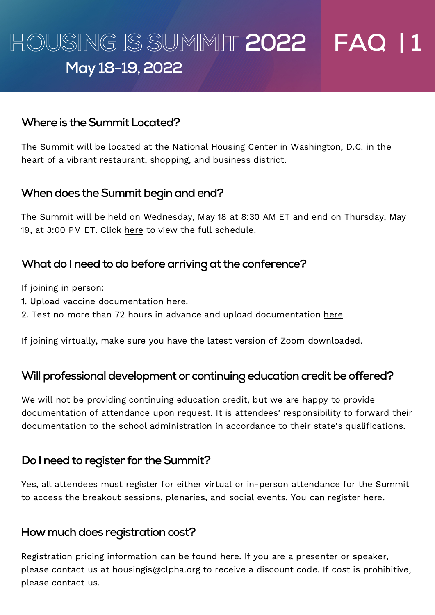# **HOUSING ISSUMMIT 2022 FAQ | 1 May 18-19,2022**

#### **Where is theSummit Located?**

The Summit will be located at the National Housing Center in Washington, D.C. in the heart of a vibrant restaurant, shopping, and business district.

## **When does the Summit begin and end?**

The Summit will be held on Wednesday, May 18 at 8:30 AM ET and end on Thursday, May 19, at 3:00 PM ET. Click [here](https://clpha.org/sites/default/files/2022%20summit%20draft%20agenda%20for%20website%20WITH%20SPEAKERS%20KG%20EDITS.pdf) to view the full schedule.

# **What do I need to do before arriving at the conference?**

If joining in person:

- 1. Upload vaccine documentation [here.](https://www.surveymonkey.com/r/SQW2H2P)
- 2. Test no more than 72 hours in advance and upload documentation [here.](https://www.surveymonkey.com/r/DDFMVP7)

If joining virtually, make sure you have the latest version of Zoom [downloaded](https://zoom.us/download?_ga=2.225131870.557340780.1650396069-705468515.1609966926).

## **Will professional development or continuing education credit be offered?**

We will not be providing continuing education credit, but we are happy to provide documentation of attendance upon request. It is attendees' responsibility to forward their documentation to the school administration in accordance to their state's qualifications.

## **Do** I need to register for the Summit?

Yes, all attendees must register for either virtual or in-person attendance for the Summit to access the breakout sessions, plenaries, and social events. You can register [here.](https://clpha.org/civicrm/event/info?reset=1&id=33)

## **How much does registration cost?**

Registration pricing information can be found [here.](https://clpha.org/housing-summit-registration-terms-and-conditions) If you are a presenter or speaker, please contact us at [housingis@clpha.org](mailto:housingis@clpha.org) to receive a discount code. If cost is prohibitive, please contact us.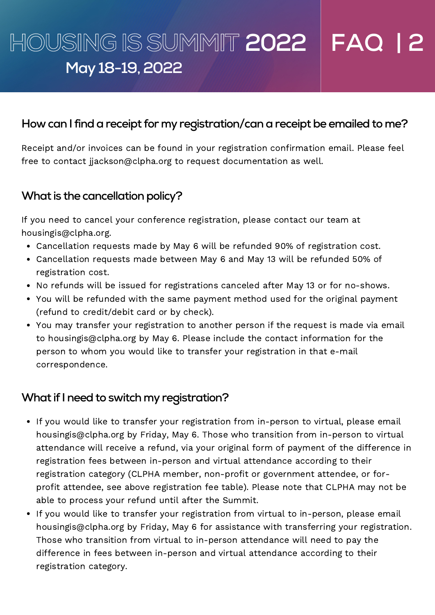# **HOUSING ISSUMMIT 2022 FAQ | 2 May 18-19,2022**

# **How can Ifindareceipt for my registration/canareceiptbe emailedto me?**

Receipt and/or invoices can be found in your registration confirmation email. Please feel free to contact [jjackson@clpha.org](mailto:jjackson@clpha.org) to request documentation as well.

# **What** is the cancellation policy?

If you need to cancel your conference registration, please contact our team at [housingis@clpha.org.](mailto:housingis@clpha.org)

- Cancellation requests made by May 6 will be refunded 90% of registration cost.
- Cancellation requests made between May 6 and May 13 will be refunded 50% of registration cost.
- No refunds will be issued for registrations canceled after May 13 or for no-shows.
- You will be refunded with the same payment method used for the original payment (refund to credit/debit card or by check).
- You may transfer your registration to another person if the request is made via email to [housingis@clpha.org](mailto:housingis@clpha.org) by May 6. Please include the contact information for the person to whom you would like to transfer your registration in that e-mail correspondence.

## **What if I need to switch my registration?**

- If you would like to transfer your registration from in-person to virtual, please email [housingis@clpha.org](mailto:housingis@clpha.org) by Friday, May 6. Those who transition from in-person to virtual attendance will receive a refund, via your original form of payment of the difference in registration fees between in-person and virtual attendance according to their registration category (CLPHA member, non-profit or government attendee, or forprofit attendee, see above registration fee table). Please note that CLPHA may not be able to process your refund until after the Summit.
- If you would like to transfer your registration from virtual to in-person, please email [housingis@clpha.org](mailto:housingis@clpha.org) by Friday, May 6 for assistance with transferring your registration. Those who transition from virtual to in-person attendance will need to pay the difference in fees between in-person and virtual attendance according to their registration category.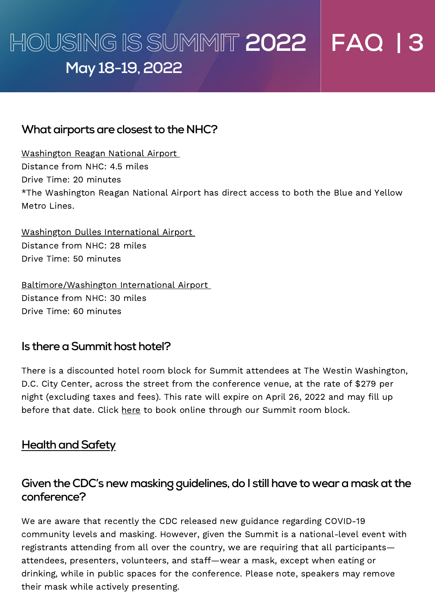# **HOUSING ISSUMMIT 2022 FAQ | 3 May 18-19,2022**

# **What airports are closest to the NHC?**

Washington Reagan National Airport Distance from NHC: 4.5 miles Drive Time: 20 minutes \*The Washington Reagan National Airport has direct access to both the Blue and Yellow Metro Lines.

Washington Dulles International Airport Distance from NHC: 28 miles Drive Time: 50 minutes

Baltimore/Washington International Airport Distance from NHC: 30 miles Drive Time: 60 minutes

# **Is there a Summit host hotel?**

There is a discounted hotel room block for Summit attendees at The Westin Washington, D.C. City Center, across the street from the conference venue, at the rate of \$279 per night (excluding taxes and fees). This rate will expire on April 26, 2022 and may fill up before that date. Click [here](https://www.marriott.com/event-reservations/reservation-link.mi?id=1641314833425&key=GRP&app=resvlink) to book online through our Summit room block.

# **Health and Safety**

# **Given the CDC's new maskingguidelines,do I still have to weara maskat the conference?**

We are aware that recently the CDC released new guidance regarding COVID-19 community levels and masking. However, given the Summit is a national-level event with registrants attending from all over the country, we are requiring that all participants attendees, presenters, volunteers, and staff—wear a mask, except when eating or drinking, while in public spaces for the conference. Please note, speakers may remove their mask while actively presenting.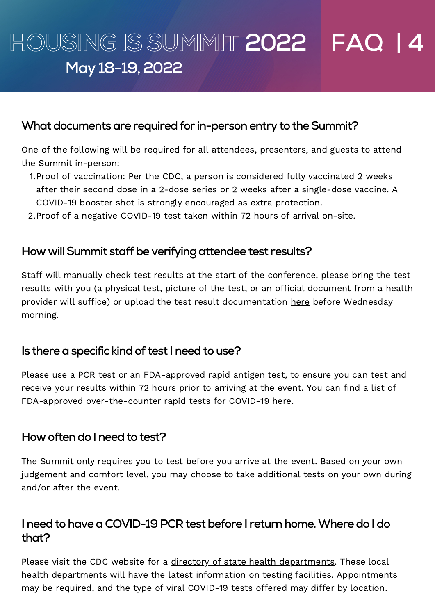# **HOUSING ISSUMMIT 2022 FAQ | 4 May 18-19,2022**

#### **What documents are required for in-person entry to the Summit?**

One of the following will be required for all attendees, presenters, and guests to attend the Summit in-person:

- 1. Proof of vaccination: Per the CDC, a person is considered fully vaccinated 2 weeks after their second dose in a 2-dose series or 2 weeks after a single-dose vaccine. A COVID-19 booster shot is strongly encouraged as extra protection.
- 2. Proof of a negative COVID-19 test taken within 72 hours of arrival on-site.

## **How willSummit staffbe verifyingattendee test results?**

Staff will manually check test results at the start of the conference, please bring the test results with you (a physical test, picture of the test, or an official document from a health provider will suffice) or upload the test result documentation [here](https://www.surveymonkey.com/r/DDFMVP7) before Wednesday morning.

#### **ls** there a specific kind of test I need to use?

Please use a PCR test or an FDA-approved rapid antigen test, to ensure you can test and receive your results within 72 hours prior to arriving at the event. You can find a list of FDA-approved over-the-counter rapid tests for COVID-19 [here.](https://www.fda.gov/medical-devices/coronavirus-disease-2019-covid-19-emergency-use-authorizations-medical-devices/in-vitro-diagnostics-euas-antigen-diagnostic-tests-sars-cov-2)

#### **How oftendo I needto test?**

The Summit only requires you to test before you arrive at the event. Based on your own judgement and comfort level, you may choose to take additional tests on your own during and/or after the event.

## **I** need to have a COVID-19 PCR test before I return home. Where do I do **that?**

Please visit the CDC website for a directory of state health [departments.](https://www.cdc.gov/publichealthgateway/healthdirectories/healthdepartments.html) These local health departments will have the latest information on testing facilities. Appointments may be required, and the type of viral COVID-19 tests offered may differ by location.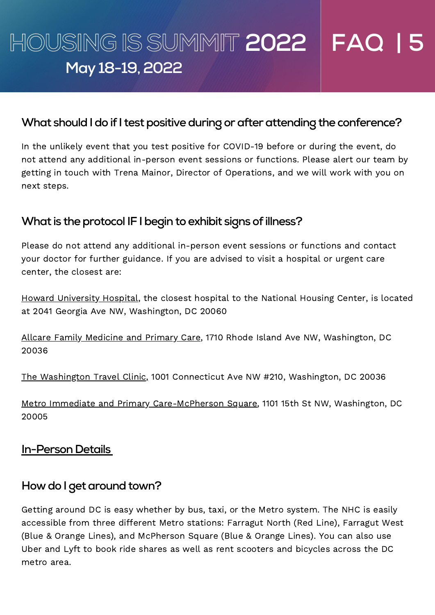# **HOUSING ISSUMMIT 2022 FAQ | 5 May 18-19,2022**

## **What should I do if I test positive during or after attending the conference?**

In the unlikely event that you test positive for COVID-19 before or during the event, do not attend any additional in-person event sessions or functions. Please alert our team by getting in touch with Trena Mainor, Director of Operations, and we will work with you on next steps.

# **What** is the protocol IF I begin to exhibit signs of illness?

Please do not attend any additional in-person event sessions or functions and contact your doctor for further guidance. If you are advised to visit a hospital or urgent care center, the closest are:

Howard University Hospital, the closest hospital to the National Housing Center, is located at 2041 Georgia Ave NW, Washington, DC 20060

Allcare Family Medicine and Primary Care, 1710 Rhode Island Ave NW, Washington, DC 20036

The Washington Travel Clinic, 1001 Connecticut Ave NW #210, Washington, DC 20036

Metro Immediate and Primary Care-McPherson Square, 1101 15th St NW, Washington, DC 20005

## **In-Person Details**

## **How do I get around town?**

Getting around DC is easy whether by bus, taxi, or the Metro system. The NHC is easily accessible from three different Metro stations: Farragut North (Red Line), Farragut West (Blue & Orange Lines), and McPherson Square (Blue & Orange Lines). You can also use Uber and Lyft to book ride shares as well as rent scooters and bicycles across the DC metro area.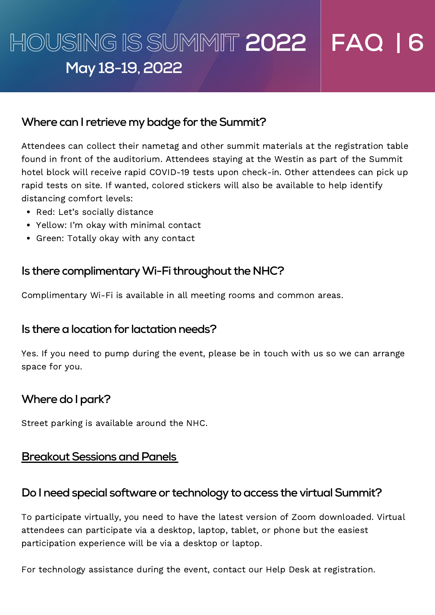# **HOUSING ISSUMMIT 2022 FAQ | 6 May 18-19,2022**

## **Where can I retrieve my badge for the Summit?**

Attendees can collect their nametag and other summit materials at the registration table found in front of the auditorium. Attendees staying at the Westin as part of the Summit hotel block will receive rapid COVID-19 tests upon check-in. Other attendees can pick up rapid tests on site. If wanted, colored stickers will also be available to help identify distancing comfort levels:

- Red: Let's socially distance
- Yellow: I'm okay with minimal contact
- Green: Totally okay with any contact

# **Is there complimentaryWi-Fi throughout theNHC?**

Complimentary Wi-Fi is available in all meeting rooms and common areas.

## $Is there a location for lactation needs?$

Yes. If you need to pump during the event, please be in touch with us so we can arrange space for you.

# **Where do I park?**

Street parking is available around the NHC.

#### **Breakout Sessions and Panels**

#### **Do** I need special software or technology to access the virtual Summit?

To participate virtually, you need to have the latest version of Zoom downloaded. Virtual attendees can participate via a desktop, laptop, tablet, or phone but the easiest participation experience will be via a desktop or laptop.

For technology assistance during the event, contact our Help Desk at registration.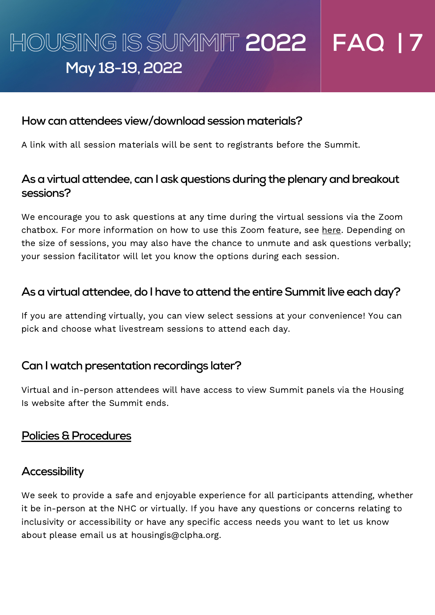# **HOUSING ISSUMMIT 2022 FAQ | 7 May 18-19,2022**

#### **How canattendees view/downloadsession materials?**

A link with all session materials will be sent to registrants before the Summit.

# As a virtual attendee, can I ask questions during the plenary and breakout **sessions?**

We encourage you to ask questions at any time during the virtual sessions via the Zoom chatbox. For more information on how to use this Zoom feature, see [here](https://support.zoom.us/hc/en-us?_ga=2.198407659.557340780.1650396069-705468515.1609966926). Depending on the size of sessions, you may also have the chance to unmute and ask questions verbally; your session facilitator will let you know the options during each session.

# **Asavirtualattendee,do I have toattendthe entireSummit live eachday?**

If you are attending virtually, you can view select sessions at your convenience! You can pick and choose what livestream sessions to attend each day.

## **Can** I watch presentation recordings later?

Virtual and in-person attendees will have access to view Summit panels via the Housing Is website after the Summit ends.

## **Policies & Procedures**

## **Accessibility**

We seek to provide a safe and enjoyable experience for all participants attending, whether it be in-person at the NHC or virtually. If you have any questions or concerns relating to inclusivity or accessibility or have any specific access needs you want to let us know about please email us at [housingis@clpha.org](mailto:housingis@clpha.org).